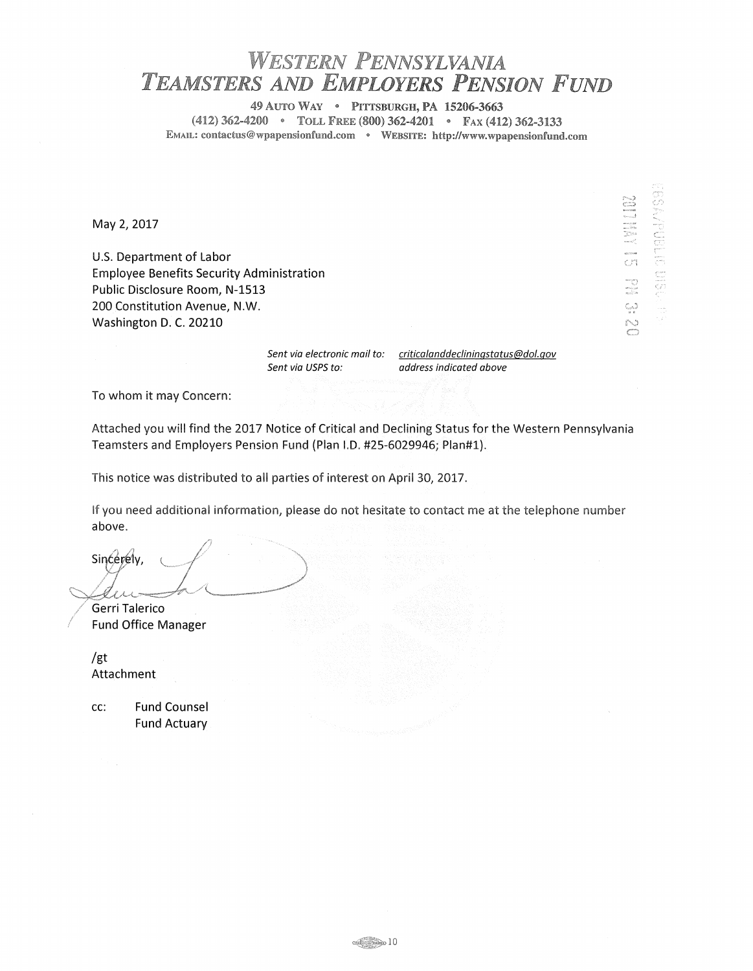## *WESTERN PENNSYLVANIA TEAMSTERS AND EMPLOYERS PENSION FUND*

49 AUTO WAY • PITTSBURGH, PA 15206-3663 (412) 362-4200 • TOLL FREE (800) 362-4201 • FAX (412) 362-3133 EMAIL: contactus@wpapensionfund.com • WEBSITE: http://www.wpapensionfund.com

May 2, 2017

U.S. Department of Labor Employee Benefits Security Administration Public Disclosure Room, N-1513 200 Constitution Avenue, N.W. Washington D. C. 20210

Sent via USPS to:

Sent via electronic mail to: criticalanddecliningstatus@dol.gov address indicated above

N a

and choose

To whom it may Concern:

Attached you will find the 2017 Notice of Critical and Declining Status for the Western Pennsylvania Teamsters and Employers Pension Fund (Plan l.D. #25-6029946; Plan#l).

This notice was distributed to all parties of interest on April 30, 2017.

If you need additional information, please do not hesitate to contact me at the telephone number above.

 $~\sim 10$ 

 $\frac{Sineeredy, \quad \text{if} \quad \text{if} \quad \text{if} \quad \text{if} \quad \text{if} \quad \text{if} \quad \text{if} \quad \text{if} \quad \text{if} \quad \text{if} \quad \text{if} \quad \text{if} \quad \text{if} \quad \text{if} \quad \text{if} \quad \text{if} \quad \text{if} \quad \text{if} \quad \text{if} \quad \text{if} \quad \text{if} \quad \text{if} \quad \text{if} \quad \text{if} \quad \text{if} \quad \text{if} \quad \text{if} \quad \text{if} \quad \text{if} \quad \text{if} \quad$ Gerri Talerico

/ Fund Office Manager

/gt Attachment

cc: Fund Counsel Fund Actuary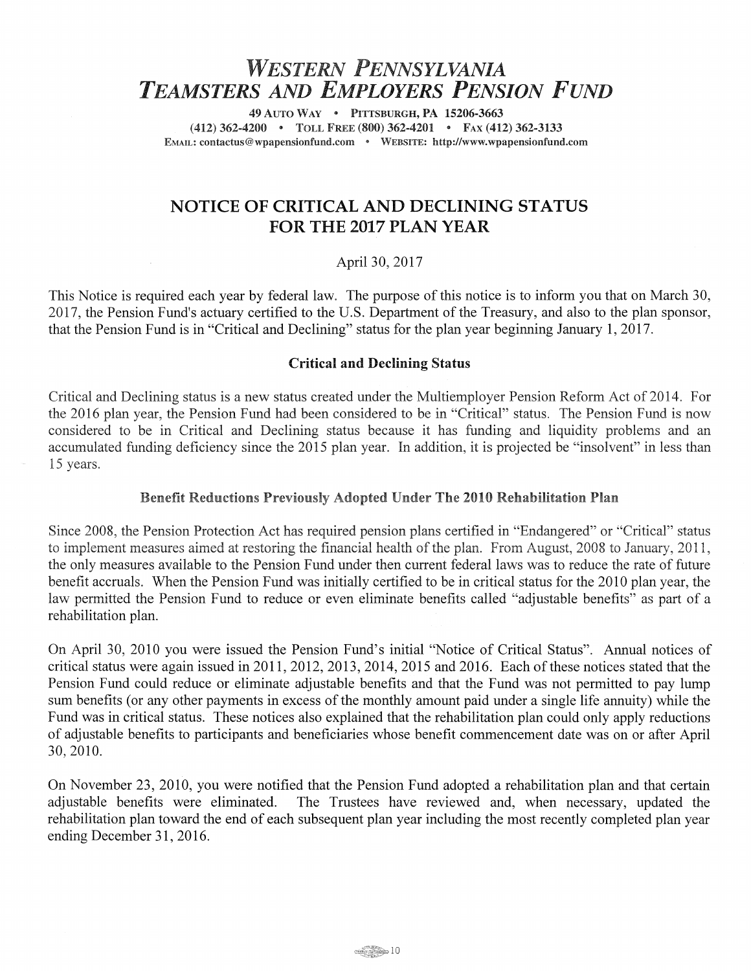# *WESTERN PENNSYLVANIA TEAMSTERS AND EMPLOYERS PENSION FUND*

49 AUTO WAY • PITTSBURGH, PA 15206-3663 (412) 362-4200 • TOLL FREE (800) 362-4201 • FAX (412) 362-3133 EMAIL: contactus@wpapensionfund.com • WEBSITE: http://www.wpapensionfund.com

## NOTICE OF CRITICAL AND DECLINING STATUS FOR THE 2017 PLAN YEAR

### April 30, 2017

This Notice is required each year by federal law. The purpose of this notice is to inform you that on March 30, 2017, the Pension Fund's actuary certified to the U.S. Department of the Treasury, and also to the plan sponsor, that the Pension Fund is in "Critical and Declining" status for the plan year beginning January 1, 2017.

### Critical and Declining Status

Critical and Declining status is a new status created under the Multiemployer Pension Reform Act of 2014. For the 2016 plan year, the Pension Fund had been considered to be in "Critical" status. The Pension Fund is now considered to be in Critical and Declining status because it has funding and liquidity problems and an accumulated funding deficiency since the 2015 plan year. In addition, it is projected be "insolvent" in less than 15 years.

#### Benefit Reductions Previously Adopted Under The 2010 Rehabilitation Plan

Since 2008, the Pension Protection Act has required pension plans certified in "Endangered" or "Critical" status to implement measures aimed at restoring the financial health of the plan. From August, 2008 to January, 2011, the only measures available to the Pension Fund under then current federal laws was to reduce the rate of future benefit accruals. When the Pension Fund was initially certified to be in critical status for the 2010 plan year, the law permitted the Pension Fund to reduce or even eliminate benefits called "adjustable benefits" as part of a rehabilitation plan.

On April 30, 2010 you were issued the Pension Fund's initial "Notice of Critical Status". Annual notices of critical status were again issued in 2011, 2012, 2013, 2014, 2015 and 2016. Each of these notices stated that the Pension Fund could reduce or eliminate adjustable benefits and that the Fund was not permitted to pay lump sum benefits (or any other payments in excess of the monthly amount paid under a single life annuity) while the Fund was in critical status. These notices also explained that the rehabilitation plan could only apply reductions of adjustable benefits to participants and beneficiaries whose benefit commencement date was on or after April 30,2010.

On November 23, 2010, you were notified that the Pension Fund adopted a rehabilitation plan and that certain adjustable benefits were eliminated. The Trustees have reviewed and, when necessary, updated the rehabilitation plan toward the end of each subsequent plan year including the most recently completed plan year ending December 31, 2016.